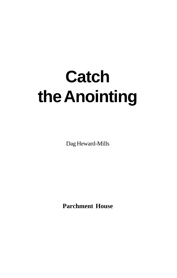# **Catch the Anointing**

Dag Heward-Mills

**Parchment House**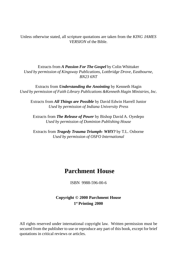Unless otherwise stated, all scripture quotations are taken from the *KING JAMES VERSION* of the Bible.

Extracts from *A Passion For The Gospel* by Colin Whittaker *Used by permission of Kingsway Publications, Lottbridge Drove, Eastbourne, BN23 6NT*

Extracts from *Understanding the Anointing* by Kenneth Hagin *Used by permission of Faith Library Publications &Kenneth Hagin Ministries, Inc.*

Extracts from *All Things are Possible* by David Edwin Harrell Junior *Used by permission of Indiana University Press*

Extracts from *The Release of Power* by Bishop David A. Oyedepo *Used by permission of Dominion Publishing House*

Extracts from *Tragedy Trauma Triumph- WHY?* by T.L. Osborne *Used by permission of OSFO International*

### **Parchment House**

ISBN 9988-596-00-6

#### **Copyright © 2000 Parchment House 1st Printing 2000**

All rights reserved under international copyright law. Written permission must be secured from the publisher to use or reproduce any part of this book, except for brief quotations in critical reviews or articles.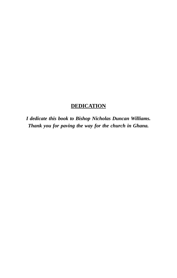### **DEDICATION**

*I dedicate this book to Bishop Nicholas Duncan Williams. Thank you for paving the way for the church in Ghana.*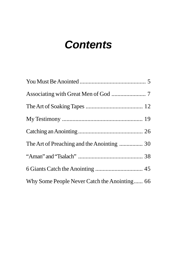# **Contents**

| Why Some People Never Catch the Anointing 66 |
|----------------------------------------------|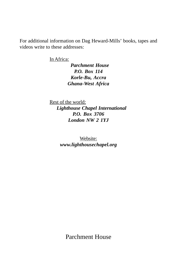For additional information on Dag Heward-Mills' books, tapes and videos write to these addresses:

In Africa:

 *Parchment House P.O. Box 114 Korle-Bu, Accra Ghana-West Africa*

Rest of the world: *Lighthouse Chapel International P.O. Box 3706 London NW 2 1YJ*

> Website: *www.lighthousechapel.org*

Parchment House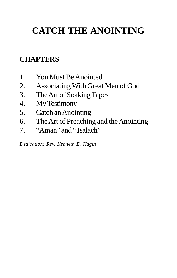# **CATCH THE ANOINTING**

### **CHAPTERS**

- 1. You Must Be Anointed
- 2. Associating With Great Men of God
- 3. The Art of Soaking Tapes
- 4. My Testimony
- 5. Catch an Anointing
- 6. The Art of Preaching and the Anointing
- 7. "Aman" and "Tsalach"

*Dedication: Rev. Kenneth E. Hagin*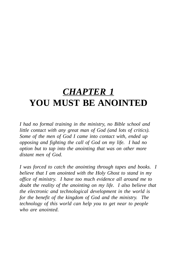# *CHAPTER 1* **YOU MUST BE ANOINTED**

*I had no formal training in the ministry, no Bible school and little contact with any great man of God (and lots of critics). Some of the men of God I came into contact with, ended up opposing and fighting the call of God on my life. I had no option but to tap into the anointing that was on other more distant men of God.*

*I was forced to catch the anointing through tapes and books. I believe that I am anointed with the Holy Ghost to stand in my office of ministry. I have too much evidence all around me to doubt the reality of the anointing on my life. I also believe that the electronic and technological development in the world is for the benefit of the kingdom of God and the ministry. The technology of this world can help you to get near to people who are anointed.*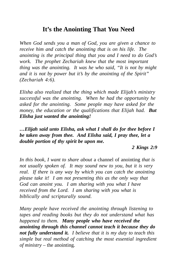### **It's the Anointing That You Need**

*When God sends you a man of God, you are given a chance to receive him and catch the anointing that is on his life. The anointing is the principal thing that you and I need to do God's work. The prophet Zechariah knew that the most important thing was the anointing. It was he who said, "It is not by might and it is not by power but it's by the anointing of the Spirit" (Zechariah 4:6).*

*Elisha also realized that the thing which made Elijah's ministry successful was the anointing. When he had the opportunity he asked for the anointing. Some people may have asked for the money, the education or the qualifications that Elijah had. But Elisha just wanted the anointing!*

*…Elijah said unto Elisha, ask what I shall do for thee before I be taken away from thee. And Elisha said, I pray thee, let a double portion of thy spirit be upon me.*

*2 Kings 2:9*

*In this book, I want to share about* a channel of anointing *that is not usually spoken of. It may sound new to you, but it is very real. If there is any way by which you can catch the anointing please take it! I am not presenting this as the only way that God can anoint you. I am sharing with you what I have received from the Lord. I am sharing with you what is biblically and scripturally sound.*

*Many people have received the anointing through listening to tapes and reading books but they do not understand what has happened to them. Many people who have received the anointing through this channel cannot teach it because they do not fully understand it. I believe that it is my duty to teach this simple but real method of catching the most essential ingredient of ministry –* the anointing*.*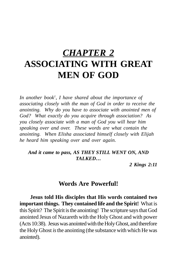# *CHAPTER 2* **ASSOCIATING WITH GREAT MEN OF GOD**

*In another book1 , I have shared about the importance of associating closely with the man of God in order to receive the anointing. Why do you have to associate with anointed men of God? What exactly do you acquire through association? As you closely associate with a man of God you will hear him speaking over and over. These words are what contain the anointing. When Elisha associated himself closely with Elijah he heard him speaking over and over again.*

### *And it came to pass, AS THEY STILL WENT ON, AND TALKED…*

*2 Kings 2:11*

### **Words Are Powerful!**

**Jesus told His disciples that His words contained two important things. They contained life and the Spirit!** What is this Spirit? The Spirit is the anointing! The scripture says that God anointed Jesus of Nazareth with the Holy Ghost and with power (Acts 10:38). Jesus was anointed with the Holy Ghost, and therefore the Holy Ghost *is* the anointing (the substance with which He was anointed).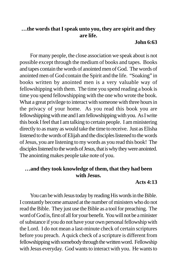### **…the words that I speak unto you, they are spirit and they are life.**

### **John 6:63**

For many people, the close association we speak about is not possible except through the medium of books and tapes. Books and tapes contain the words of anointed men of God. The words of anointed men of God contain the Spirit and the life. "Soaking" in books written by anointed men is a very valuable way of fellowshipping with them. The time you spend reading a book is time you spend fellowshipping with the one who wrote the book. What a great privilege to interact with someone with three hours in the privacy of your home. As you read this book you are fellowshipping with me and I am fellowshipping with you. As I write this book I feel that I am talking to certain people. I am ministering directly to as many as would take the time to receive. Just as Elisha listened to the words of Elijah and the disciples listened to the words of Jesus, you are listening to my words as you read this book! The disciples listened to the words of Jesus, that is why they were anointed. The anointing makes people take note of you.

### **…and they took knowledge of them, that they had been with Jesus.**

**Acts 4:13**

You can be with Jesus today by reading His words in the Bible. I constantly become amazed at the number of ministers who do not read the Bible. They just use the Bible as a tool for preaching. The word of God is, first of all for your benefit. You will not be a minister of substance if you do not have your own personal fellowship with the Lord. I do not mean a last-minute check of certain scriptures before you preach. A quick check of a scripture is different from fellowshipping with somebody through the written word. Fellowship with Jesus everyday. God wants to interact with you. He wants to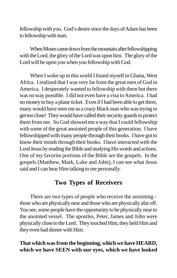fellowship with you. God's desire since the days of Adam has been to fellowship with man.

When Moses came down from the mountain after fellowshipping with the Lord, the glory of the Lord was upon him. The glory of the Lord will be upon you when you fellowship with God.

When I woke up in this world I found myself in Ghana, West Africa. I realized that I was very far from the great men of God in America. I desperately wanted to fellowship with them but there was no way possible. I did not even have a visa to America. I had no money to buy a plane ticket. Even if I had been able to get there, many would have seen me as a crazy Black man who was trying to get too close! They would have called their security guards to protect them from me. So God showed me a way that I could fellowship with some of the great anointed people of this generation. I have fellowshipped with many people through their books. I have got to know their minds through their books. I have interacted with the Lord Jesus by reading the Bible and studying His words and actions. One of my favorite portions of the Bible are the gospels. In the gospels (Matthew, Mark, Luke and John), I can see what Jesus said and I can hear Him talking to me personally.

### **Two Types of Receivers**

There are two types of people who receive the anointing – those who are physically near and those who are physically afar off. You see, some people have the opportunity to be physically near to the anointed vessel. The apostles, Peter, James and John were physically close to the Lord. They touched Him, they held Him and they even had dinner with Him.

### **That which was from the beginning, which we have HEARD, which we have SEEN with our eyes, which we have looked**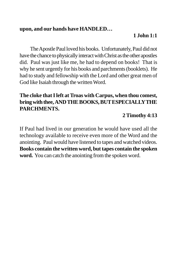### **upon, and our hands have HANDLED…**

### **1 John 1:1**

The Apostle Paul loved his books. Unfortunately, Paul did not have the chance to physically interact with Christ as the other apostles did. Paul was just like me, he had to depend on books! That is why he sent urgently for his books and parchments (booklets). He had to study and fellowship with the Lord and other great men of God like Isaiah through the written Word.

### **The cloke that I left at Troas with Carpus, when thou comest, bring with thee, AND THE BOOKS, BUT ESPECIALLY THE PARCHMENTS.**

### **2 Timothy 4:13**

If Paul had lived in our generation he would have used all the technology available to receive even more of the Word and the anointing. Paul would have listened to tapes and watched videos. **Books contain the written word, but tapes contain the spoken word.** You can catch the anointing from the spoken word.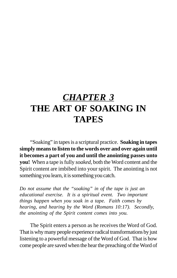# *CHAPTER 3* **THE ART OF SOAKING IN TAPES**

"Soaking" in tapes is a scriptural practice. **Soaking in tapes simply means to listen to the words over and over again until it becomes a part of you and until the anointing passes unto you!** When a tape is fully *soaked*, both the Word content and the Spirit content are imbibed into your spirit. The anointing is not something you learn, it is something you catch.

*Do not assume that the "soaking" in of the tape is just an educational exercise. It is a spiritual event. Two important things happen when you soak in a tape. Faith comes by hearing, and hearing by the Word (Romans 10:17). Secondly, the anointing of the Spirit content comes into you.*

The Spirit enters a person as he receives the Word of God. That is why many people experience radical transformations by just listening to a powerful message of the Word of God. That is how come people are saved when the hear the preaching of the Word of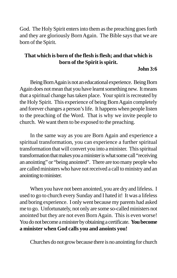God. The Holy Spirit enters into them as the preaching goes forth and they are gloriously Born Again. The Bible says that we are born of the Spirit.

### **That which is born of the flesh is flesh; and that which is born of the Spirit is spirit.**

### **John 3:6**

Being Born Again is not an educational experience. Being Born Again does not mean that you have learnt something new. It means that a spiritual change has taken place. Your spirit is recreated by the Holy Spirit. This experience of being Born Again completely and forever changes a person's life. It happens when people listen to the preaching of the Word. That is why we invite people to church. We want them to be exposed to the preaching.

In the same way as you are Born Again and experience a spiritual transformation, you can experience a further spiritual transformation that will convert you into a minister. This spiritual transformation that makes you a minister is what some call "receiving an anointing" or "being anointed". There are too many people who are called ministers who have not received a call to ministry and an anointing to minister.

When you have not been anointed, you are dry and lifeless. I used to go to church every Sunday and I hated it! It was a lifeless and boring experience. I only went because my parents had asked me to go. Unfortunately, not only are some so-called ministers not anointed but they are not even Born Again. This is even worse! You do not become a minister by obtaining a certificate. **You become a minister when God calls you and anoints you!**

Churches do not grow because there is no anointing for church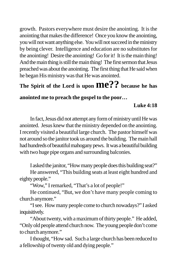growth. Pastors everywhere must desire the anointing. It is the anointing that makes the difference! Once you know the anointing, you will not want anything else. You will not succeed in the ministry by being clever. Intelligence and education are no substitutes for the anointing! Desire the anointing! Go for it! It is the main thing! And the main thing is still the main thing! The first sermon that Jesus preached was about the anointing. The first thing that He said when he began His ministry was that He was anointed.

### **The Spirit of the Lord is upon me?? because he has anointed me to preach the gospel to the poor…**

### **Luke 4:18**

In fact, Jesus did not attempt any form of ministry until He was anointed. Jesus knew that the ministry depended on the anointing. I recently visited a beautiful large church. The pastor himself was not around so the janitor took us around the building. The main hall had hundreds of beautiful mahogany pews. It was a beautiful building with two huge pipe organs and surrounding balconies.

I asked the janitor, "How many people does this building seat?"

He answered, "This building seats at least eight hundred and eighty people."

"Wow," I remarked, "That's a lot of people!"

He continued, "But, we don't have many people coming to church anymore."

"I see. How many people come to church nowadays?" I asked inquisitively.

"About twenty, with a maximum of thirty people." He added, "Only old people attend church now. The young people don't come to church anymore."

I thought, "How sad. Such a large church has been reduced to a fellowship of twenty old and dying people."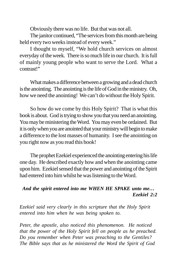Obviously there was no life. But that was not all.

The janitor continued, "The services from this month are being held every two weeks instead of every week."

I thought to myself, "We hold church services on almost everyday of the week. There is so much life in our church. It is full of mainly young people who want to serve the Lord. What a contrast!"

What makes a difference between a growing and a dead church is the anointing. The anointing is the life of God in the ministry. Oh, how we need the anointing! We can't do without the Holy Spirit.

So how do we come by this Holy Spirit? That is what this book is about. God is trying to show you that you need an anointing. You may be ministering the Word. You may even be ordained. But it is only when you are anointed that your ministry will begin to make a difference to the lost masses of humanity. I see the anointing on you right now as you read this book!

The prophet Ezekiel experienced the anointing entering his life one day. He described exactly how and when the anointing came upon him. Ezekiel sensed that the power and anointing of the Spirit had entered into him whilst he was listening to the Word.

### *And the spirit entered into me WHEN HE SPAKE unto me… Ezekiel 2:2*

*Ezekiel said very clearly in this scripture that the Holy Spirit entered into him when he was being spoken to.*

*Peter, the apostle, also noticed this phenomenon. He noticed that the power of the Holy Spirit fell on people as he preached. Do you remember when Peter was preaching to the Gentiles? The Bible says that as he ministered the Word the Spirit of God*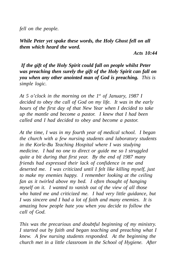*fell on the people.*

*While Peter yet spake these words, the Holy Ghost fell on all them which heard the word.*

*Acts 10:44*

*If the gift of the Holy Spirit could fall on people whilst Peter was preaching then surely the gift of the Holy Spirit can fall on you when any other anointed man of God is preaching. This is simple logic.*

*At 5 o'clock in the morning on the 1st of January, 1987 I decided to obey the call of God on my life. It was in the early hours of the first day of that New Year when I decided to take up the mantle and become a pastor. I knew that I had been called and I had decided to obey and become a pastor.*

*At the time, I was in my fourth year of medical school. I began the church with a few nursing students and laboratory students in the Korle-Bu Teaching Hospital where I was studying medicine. I had no one to direct or guide me so I struggled quite a bit during that first year. By the end of 1987 many friends had expressed their lack of confidence in me and deserted me. I was criticized until I felt like killing myself, just to make my enemies happy. I remember looking at the ceiling fan as it twirled above my bed. I often thought of hanging myself on it. I wanted to vanish out of the view of all those who hated me and criticized me. I had very little guidance, but I was sincere and I had a lot of faith and many enemies. It is amazing how people hate you when you decide to follow the call of God.*

*This was the precarious and doubtful beginning of my ministry. I started out by faith and began teaching and preaching what I knew. A few nursing students responded. At the beginning the church met in a little classroom in the School of Hygiene. After*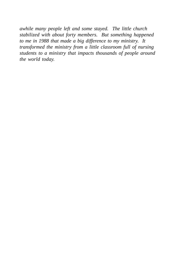*awhile many people left and some stayed. The little church stabilized with about forty members. But something happened to me in 1988 that made a big difference to my ministry. It transformed the ministry from a little classroom full of nursing students to a ministry that impacts thousands of people around the world today.*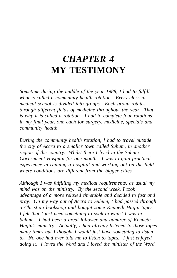# *CHAPTER 4* **MY TESTIMONY**

*Sometime during the middle of the year 1988, I had to fulfill what is called a community health rotation. Every class in medical school is divided into groups. Each group rotates through different fields of medicine throughout the year. That is why it is called a rotation. I had to complete four rotations in my final year, one each for surgery, medicine, specials and community health.*

*During the community health rotation, I had to travel outside the city of Accra to a smaller town called Suhum, in another region of the country. Whilst there I lived in the Suhum Government Hospital for one month. I was to gain practical experience in running a hospital and working out on the field where conditions are different from the bigger cities.*

*Although I was fulfilling my medical requirements, as usual my mind was on the ministry. By the second week, I took advantage of a more relaxed timetable and decided to fast and pray. On my way out of Accra to Suhum, I had passed through a Christian bookshop and bought some Kenneth Hagin tapes. I felt that I just need something to soak in whilst I was in Suhum. I had been a great follower and admirer of Kenneth Hagin's ministry. Actually, I had already listened to those tapes many times but I thought I would just have something to listen to. No one had ever told me to listen to tapes. I just enjoyed doing it. I loved the Word and I loved the minister of the Word.*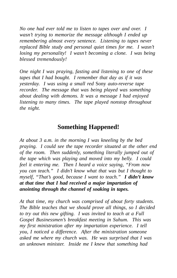*No one had ever told me to listen to tapes over and over. I wasn't trying to memorize the message although I ended up remembering almost every sentence. Listening to tapes never replaced Bible study and personal quiet times for me. I wasn't losing my personality! I wasn't becoming a clone. I was being blessed tremendously!*

*One night I was praying, fasting and listening to one of these tapes that I had bought. I remember that day as if it was yesterday. I was using a small red* Sony *auto-reverse tape recorder. The message that was being played was something about dealing with demons. It was a message I had enjoyed listening to many times. The tape played nonstop throughout the night.*

### **Something Happened!**

*At about 3 a.m. in the morning I was kneeling by the bed praying. I could see the tape recorder situated at the other end of the room. Then suddenly, something literally jumped out of the tape which was playing and moved into my belly. I could feel it entering me. Then I heard a voice saying, "From now you can teach." I didn't know what that was but I thought to myself, "That's good, because I want to teach." I didn't know at that time that I had received a major impartation of anointing through the channel of soaking in tapes.*

*At that time, my church was comprised of about forty students. The Bible teaches that we should prove all things, so I decided to try out this new gifting. I was invited to teach at a Full Gospel Businessmen's breakfast meeting in Suhum. This was my first ministration after my impartation experience. I tell you, I noticed a difference. After the ministration someone asked me where my church was. He was surprised that I was an unknown minister. Inside me I knew that something had*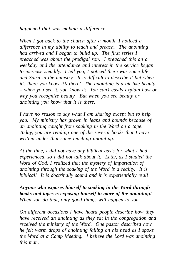*happened that was making a difference.*

*When I got back to the church after a month, I noticed a difference in my ability to teach and preach. The anointing had arrived and I began to build up. The first series I preached was about the prodigal son. I preached this on a weekday and the attendance and interest in the service began to increase steadily. I tell you, I noticed there was some life and Spirit in the ministry. It is difficult to describe it but when it's there you know it's there! The anointing is a bit like beauty – when you see it, you know it! You can't easily explain how or why you recognize beauty. But when you see beauty or anointing you know that it is there.*

*I have no reason to say what I am sharing except but to help you. My ministry has grown in leaps and bounds because of an anointing caught from soaking in the Word on a tape. Today, you are reading one of the several books that I have written under that same teaching anointing.*

*At the time, I did not have any biblical basis for what I had experienced, so I did not talk about it. Later, as I studied the Word of God, I realized that the mystery of impartation of anointing through the soaking of the Word is a reality. It is biblical! It is doctrinally sound and it is experientially real!*

*Anyone who exposes himself to soaking in the Word through books and tapes is exposing himself to more of the anointing! When you do that, only good things will happen to you.*

*On different occasions I have heard people describe how they have received an anointing as they sat in the congregation and received the ministry of the Word. One pastor described how he felt warm drops of anointing falling on his head as I spoke the Word at a Camp Meeting. I believe the Lord was anointing this man.*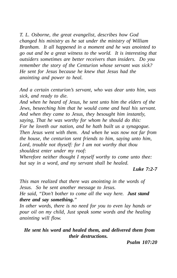*T. L. Osborne, the great evangelist, describes how God changed his ministry as he sat under the ministry of William Branham. It all happened in a moment and he was anointed to go out and be a great witness to the world. It is interesting that outsiders sometimes are better receivers than insiders. Do you remember the story of the Centurion whose servant was sick? He sent for Jesus because he knew that Jesus had the anointing and power to heal.*

*And a certain centurion's servant, who was dear unto him, was sick, and ready to die.*

*And when he heard of Jesus, he sent unto him the elders of the Jews, beseeching him that he would come and heal his servant. And when they came to Jesus, they besought him instantly, saying, That he was worthy for whom he should do this: For he loveth our nation, and he hath built us a synagogue. Then Jesus went with them. And when he was now not far from the house, the centurion sent friends to him, saying unto him, Lord, trouble not thyself: for I am not worthy that thou shouldest enter under my roof:*

*Wherefore neither thought I myself worthy to come unto thee: but say in a word, and my servant shall be healed.*

*Luke 7:2-7*

*This man realized that there was anointing in the words of Jesus. So he sent another message to Jesus.*

*He said, "Don't bother to come all the way here. Just stand there and say something."*

*In other words, there is no need for you to even lay hands or pour oil on my child, Just speak some words and the healing anointing will flow.*

*He sent his word and healed them, and delivered them from their destructions.*

*Psalm 107:20*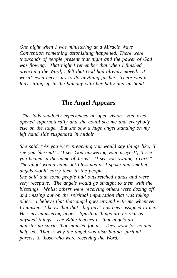*One night when I was ministering at a Miracle Wave Convention something astonishing happened. There were thousands of people present that night and the power of God was flowing. That night I remember that when I finished preaching the Word, I felt that God had already moved. It wasn't even necessary to do anything further. There was a lady sitting up in the balcony with her baby and husband.*

### **The Angel Appears**

 *This lady suddenly experienced an open vision. Her eyes opened supernaturally and she could see me and everybody else on the stage. But she saw a huge angel standing on my left hand side suspended in midair.*

*She said, "As you were preaching you would say things like, 'I see you blessed!!', 'I see God answering your prayer!', 'I see you healed in the name of Jesus!', 'I see you owning a car!'" The angel would hand out blessings as I spoke and smaller angels would carry them to the people.*

*She said that some people had outstretched hands and were very receptive. The angels would go straight to them with the blessings. Whilst others were receiving others were dozing off and missing out on the spiritual impartation that was taking place. I believe that that angel goes around with me whenever I minister. I know that that "big guy" has been assigned to me. He's my ministering angel. Spiritual things are as real as physical things. The Bible teaches us that angels are ministering spirits that minister for us. They work for us and help us. That is why the angel was distributing spiritual parcels to those who were receiving the Word.*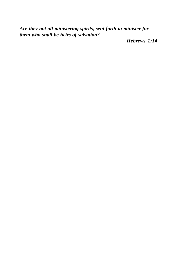*Are they not all ministering spirits, sent forth to minister for them who shall be heirs of salvation?*

*Hebrews 1:14*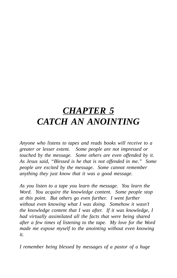# *CHAPTER 5 CATCH AN ANOINTING*

*Anyone who listens to tapes and reads books will receive to a greater or lesser extent. Some people are not impressed or touched by the message. Some others are even offended by it. As Jesus said, "Blessed is he that is not offended in me." Some people are excited by the message. Some cannot remember anything they just know that it was a good message.*

*As you listen to a tape you learn the message. You learn the Word. You acquire the knowledge content. Some people stop at this point. But others go even further. I went further without even knowing what I was doing. Somehow it wasn't the knowledge content that I was after. If it was knowledge, I had virtually assimilated all the facts that were being shared after a few times of listening to the tape. My love for the Word made me expose myself to the anointing without even knowing it.*

*I remember being blessed by messages of a pastor of a huge*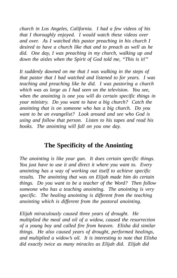*church in Los Angeles, California. I had a few videos of his that I thoroughly enjoyed. I would watch these videos over and over. As I watched this pastor preaching in his church I desired to have a church like that and to preach as well as he did. One day, I was preaching in my church, walking up and down the aisles when the Spirit of God told me, "This is it!"*

*It suddenly dawned on me that I was walking in the steps of that pastor that I had watched and listened to for years. I was teaching and preaching like he did. I was pastoring a church which was as large as I had seen on the television. You see, when the anointing is one you will do certain specific things in your ministry. Do you want to have a big church? Catch the anointing that is on someone who has a big church. Do you want to be an evangelist? Look around and see who God is using and follow that person. Listen to his tapes and read his books. The anointing will fall on you one day.*

### **The Specificity of the Anointing**

*The anointing is like your gun. It does certain specific things. You just have to use it and direct it where you want to. Every anointing has a way of working out itself to achieve specific results. The anointing that was on Elijah made him do certain things. Do you want to be a teacher of the Word? Then follow someone who has a teaching anointing. The anointing is very specific. The healing anointing is different from the teaching anointing which is different from the pastoral anointing.*

*Elijah miraculously caused three years of drought. He multiplied the meal and oil of a widow, caused the resurrection of a young boy and called fire from heaven. Elisha did similar things. He also caused years of drought, performed healings, and multiplied a widow's oil. It is interesting to note that Elisha did exactly twice as many miracles as Elijah did. Elijah did*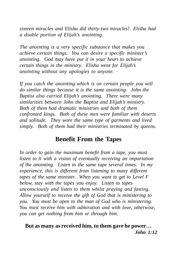*sixteen miracles and Elisha did thirty-two miracles! Elisha had a double portion of Elijah's anointing.*

*The anointing is a very specific substance that makes you achieve certain things. You can desire a specific minister's anointing. God may have put it in your heart to achieve certain things in the ministry. Elisha went for Elijah's anointing without any apologies to anyone.*

*If you catch the anointing which is on certain people you will do similar things because it is the same anointing. John the Baptist also carried Elijah's anointing. There were many similarities between John the Baptist and Elijah's ministry. Both of them had dramatic ministries and both of them confronted kings. Both of these men were familiar with deserts and solitude. They wore the same type of garments and lived simply. Both of them had their ministries terminated by queens.*

### **Benefit From the Tapes**

*In order to gain the maximum benefit from a tape, you must listen to it with a vision of eventually receiving an impartation of the anointing. Listen to the same tape several times. In my experience, this is different from listening to many different tapes of the same minister. When you want to get to Level F below, stay with the tapes you enjoy. Listen to tapes unconsciously and listen to them whilst praying and fasting. Allow yourself to receive the gift of God that is ministering to you. You must be open to the man of God who is ministering. You must receive him with admiration and with love, otherwise, you can get nothing from him or through him.*

### **But as many as received him, to them gave he power…** *John 1:12*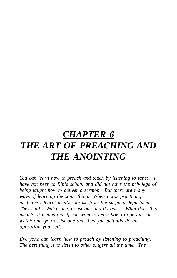# *CHAPTER 6 THE ART OF PREACHING AND THE ANOINTING*

*You can learn how to preach and teach by listening to tapes. I have not been to Bible school and did not have the privilege of being taught how to deliver a sermon. But there are many ways of learning the same thing. When I was practicing medicine I learnt a little phrase from the surgical department. They said, "Watch one, assist one and do one." What does this mean? It means that if you want to learn how to operate you watch one, you assist one and then you actually do an operation yourself.*

*Everyone can learn how to preach by listening to preaching. The best thing is to listen to other singers all the time. The*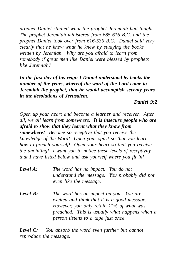*prophet Daniel studied what the prophet Jeremiah had taught. The prophet Jeremiah ministered from 685-616 B.C. and the prophet Daniel took over from 616-536 B.C. Daniel said very clearly that he knew what he knew by studying the books written by Jeremiah. Why are you afraid to learn from somebody if great men like Daniel were blessed by prophets like Jeremiah?*

*In the first day of his reign I Daniel understood by books the number of the years, whereof the word of the Lord came to Jeremiah the prophet, that he would accomplish seventy years in the desolations of Jerusalem.*

*Daniel 9:2*

*Open up your heart and become a learner and receiver. After all, we all learn from somewhere. It is insecure people who are afraid to show that they learnt what they know from somewhere! Become so receptive that you receive the knowledge of the Word! Open your spirit so that you learn how to preach yourself! Open your heart so that you receive the anointing! I want you to notice these levels of receptivity that I have listed below and ask yourself where you fit in!*

- *Level A: The word has no impact. You do not understand the message. You probably did not even like the message.*
- *Level B: The word has an impact on you. You are excited and think that it is a good message. However, you only retain 11% of what was preached. This is usually what happens when a person listens to a tape just once.*

*Level C: You absorb the word even further but cannot reproduce the message.*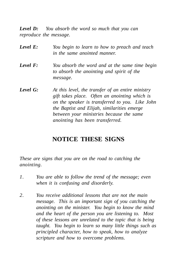*Level D: You absorb the word so much that you can reproduce the message.*

| Level E: | You begin to learn to how to preach and teach<br>in the same anointed manner.                                                                                                                                                                                                       |
|----------|-------------------------------------------------------------------------------------------------------------------------------------------------------------------------------------------------------------------------------------------------------------------------------------|
| Level F: | You absorb the word and at the same time begin<br>to absorb the anointing and spirit of the<br>message.                                                                                                                                                                             |
| Level G: | At this level, the transfer of an entire ministry<br>gift takes place. Often an anointing which is<br>on the speaker is transferred to you. Like John<br>the Baptist and Elijah, similarities emerge<br>between your ministries because the same<br>anointing has been transferred. |

### **NOTICE THESE SIGNS**

*These are signs that you are on the road to catching the anointing.*

- *1. You are able to follow the trend of the message; even when it is confusing and disorderly.*
- *2. You receive additional lessons that are not the main message. This is an important sign of you catching the anointing on the minister. You begin to know the mind and the heart of the person you are listening to. Most of these lessons are unrelated to the topic that is being taught. You begin to learn so many little things such as principled character, how to speak, how to analyze scripture and how to overcome problems.*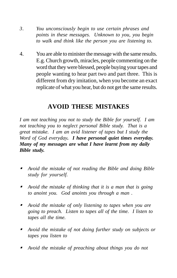- *3. You unconsciously begin to use certain phrases and points in these messages. Unknown to you, you begin to walk and think like the person you are listening to.*
- 4. You are able to minister the message with the same results. E.g. Church growth, miracles, people commenting on the word that they were blessed, people buying your tapes and people wanting to hear part two and part three. This is different from dry imitation, when you become an exact replicate of what you hear, but do not get the same results.

### **AVOID THESE MISTAKES**

*I am not teaching you not to study the Bible for yourself. I am not teaching you to neglect personal Bible study. That is a great mistake. I am an avid listener of tapes but I study the Word of God everyday. I have personal quiet times everyday. Many of my messages are what I have learnt from my daily Bible study.*

- *Avoid the mistake of not reading the Bible and doing Bible study for yourself.*
- *Avoid the mistake of thinking that it is a man that is going to anoint you. God anoints you through a man .*
- *Avoid the mistake of only listening to tapes when you are going to preach. Listen to tapes all of the time. I listen to tapes all the time.*
- *Avoid the mistake of not doing further study on subjects or tapes you listen to*
- *Avoid the mistake of preaching about things you do not*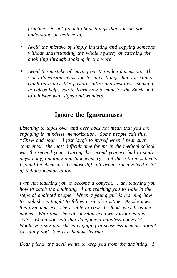*practice. Do not preach about things that you do not understand or believe in.*

- *Avoid the mistake of simply imitating and copying someone without understanding the whole mystery of catching the anointing through soaking in the word.*
- *Avoid the mistake of leaving out the video dimension. The video dimension helps you to catch things that you cannot catch on a tape like posture, attire and gestures. Soaking in videos helps you to learn how to minister the Spirit and to minister with signs and wonders.*

### **Ignore the Ignoramuses**

*Listening to tapes over and over does not mean that you are engaging in mindless memorization. Some people call this, "Chew and pour." I just laugh to myself when I hear such comments. The most difficult time for me in the medical school was the second year. During the second year we had to study physiology, anatomy and biochemistry. Of these three subjects I found biochemistry the most difficult because it involved a lot of tedious memorization.*

*I am not teaching you to become a copycat. I am teaching you how to catch the anointing. I am teaching you to walk in the steps of anointed people. When a young girl is learning how to cook she is taught to follow a simple routine. As she does this over and over she is able to cook the food as well as her mother. With time she will develop her own variations and style. Would you call that daughter a mindless copycat? Would you say that she is engaging in senseless memorization? Certainly not! She is a humble learner.*

*Dear friend, the devil wants to keep you from the anointing. I*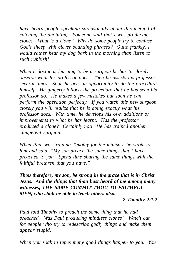*have heard people speaking sarcastically about this method of catching the anointing. Someone said that I was producing clones. What is a clone? Why do some people try to confuse God's sheep with clever sounding phrases? Quite frankly, I would rather hear my dog bark in the morning than listen to such rubbish!*

*When a doctor is learning to be a surgeon he has to closely observe what his professor does. Then he assists his professor several times. Soon he gets an opportunity to do the procedure himself. He gingerly follows the procedure that he has seen his professor do. He makes a few mistakes but soon he can perform the operation perfectly. If you watch this new surgeon closely you will realize that he is doing exactly what his professor does. With time, he develops his own additions or improvements to what he has learnt. Has the professor produced a clone? Certainly not! He has trained another competent surgeon.*

*When Paul was training Timothy for the ministry, he wrote to him and said, "My son preach the same things that I have preached to you. Spend time sharing the same things with the faithful brethren that you have."*

*Thou therefore, my son, be strong in the grace that is in Christ Jesus. And the things that thou hast heard of me among many witnesses, THE SAME COMMIT THOU TO FAITHFUL MEN, who shall be able to teach others also.*

#### *2 Timothy 2:1,2*

*Paul told Timothy to preach the same thing that he had preached. Was Paul producing mindless clones? Watch out for people who try to redescribe godly things and make them appear stupid.*

*When you soak in tapes many good things happen to you. You*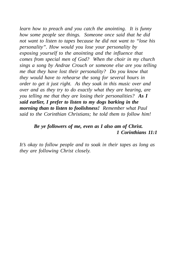*learn how to preach and you catch the anointing. It is funny how some people see things. Someone once said that he did not want to listen to tapes because he did not want to "lose his personality". How would you lose your personality by exposing yourself to the anointing and the influence that comes from special men of God? When the choir in my church sings a song by Andrae Crouch or someone else are you telling me that they have lost their personality? Do you know that they would have to rehearse the song for several hours in order to get it just right. As they soak in this music over and over and as they try to do exactly what they are hearing, are you telling me that they are losing their personalities? As I said earlier, I prefer to listen to my dogs barking in the morning than to listen to foolishness! Remember what Paul said to the Corinthian Christians; he told them to follow him!*

### *Be ye followers of me, even as I also am of Christ. 1 Corinthians 11:1*

*It's okay to follow people and to soak in their tapes as long as they are following Christ closely.*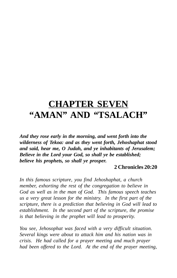## **CHAPTER SEVEN "AMAN" AND "TSALACH"**

*And they rose early in the morning, and went forth into the wilderness of Tekoa: and as they went forth, Jehoshaphat stood and said, hear me, O Judah, and ye inhabitants of Jerusalem; Believe in the Lord your God, so shall ye be established; believe his prophets, so shall ye prosper.*

### **2 Chronicles 20:20**

*In this famous scripture, you find Jehoshaphat, a church member, exhorting the rest of the congregation to believe in God as well as in the man of God. This famous speech teaches us a very great lesson for the ministry. In the first part of the scripture, there is a prediction that believing in God will lead to establishment. In the second part of the scripture, the promise is that believing in the prophet will lead to prosperity.*

*You see, Jehosophat was faced with a very difficult situation. Several kings were about to attack him and his nation was in crisis. He had called for a prayer meeting and much prayer had been offered to the Lord. At the end of the prayer meeting,*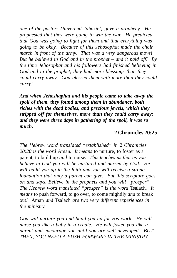*one of the pastors (Reverend Jahaziel) gave a prophecy. He prophesied that they were going to win the war. He predicted that God was going to fight for them and that everything was going to be okay. Because of this Jehosophat made the choir march in front of the army. That was a very dangerous move! But he believed in God and in the prophet – and it paid off! By the time Jehosophat and his followers had finished believing in God and in the prophet, they had more blessings than they could carry away. God blessed them with more than they could carry!*

*And when Jehoshaphat and his people came to take away the spoil of them, they found among them in abundance, both riches with the dead bodies, and precious jewels, which they stripped off for themselves, more than they could carry away: and they were three days in gathering of the spoil, it was so much.*

### **2 Chronicles 20:25**

*The Hebrew word translated "established" in 2 Chronicles 20:20 is the word* Aman*. It means* to nurture*,* to foster as a parent*,* to build up *and* to nurse*. This teaches us that as you believe in God you will be nurtured and nursed by God. He will build you up in the faith and you will receive a strong foundation that only a parent can give. But this scripture goes on and says, Believe in the prophets and you will "prosper". The Hebrew word translated "prosper" is the word* Tsalach*. It means* to push forward*,* to go over*,* to come mightily *and* to break out*!* Aman *and* Tsalach *are two very different experiences in the ministry.*

*God will nurture you and build you up for His work. He will nurse you like a baby in a cradle. He will foster you like a parent and encourage you until you are well developed. BUT THEN, YOU NEED A PUSH FORWARD IN THE MINISTRY.*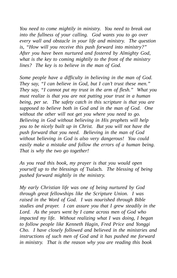*You need to come mightily in ministry. You need to break out into the fullness of your calling. God wants you to go over every wall and obstacle in your life and ministry. The question is, "How will you receive this push forward into ministry?" After you have been nurtured and fostered by Almighty God, what is the key to coming mightily to the front of the ministry lines? The key is to believe in the man of God.*

*Some people have a difficulty in believing in the man of God. They say, "I can believe in God, but I can't trust these men." They say, "I cannot put my trust in the arm of flesh." What you must realize is that you are not putting your trust in a human being, per se. The safety catch in this scripture is that you are supposed to believe both in God and in the man of God. One without the other will not get you where you need to go. Believing in God without believing in His prophets will help you to be nicely built up in Christ. But you will not have the push forward that you need. Believing in the man of God without believing in God is also very dangerous! You could easily make a mistake and follow the errors of a human being. That is why the two go together!*

*As you read this book, my prayer is that you would open yourself up to the blessings of* Tsalach*. The blessing of being pushed forward mightily in the ministry.*

*My early Christian life was one of being nurtured by God through great fellowships like the Scripture Union. I was raised in the Word of God. I was nourished through Bible studies and prayer. I can assure you that I grew steadily in the Lord. As the years went by I came across men of God who impacted my life. Without realizing what I was doing, I began to follow people like Kenneth Hagin, Fred Price and Yonggi Cho. I have closely followed and believed in the ministries and instructions of such men of God and it has pushed me forward in ministry. That is the reason why you are reading this book*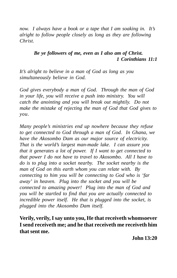*now. I always have a book or a tape that I am soaking in. It's alright to follow people closely as long as they are following Christ.*

### *Be ye followers of me, even as I also am of Christ. 1 Corinthians 11:1*

*It's alright to believe in a man of God as long as you simultaneously believe in God.*

*God gives everybody a man of God. Through the man of God in your life, you will receive a push into ministry. You will catch the anointing and you will break out mightily. Do not make the mistake of rejecting the man of God that God gives to you.*

*Many people's ministries end up nowhere because they refuse to get connected to God through a man of God. In Ghana, we have the Akosombo Dam as our major source of electricity. That is the world's largest man-made lake. I can assure you that it generates a lot of power. If I want to get connected to that power I do not have to travel to Akosombo. All I have to do is to plug into a socket nearby. The socket nearby is the man of God on this earth whom you can relate with. By connecting to him you will be connecting to God who is 'far away' in heaven. Plug into the socket and you will be connected to amazing power! Plug into the man of God and you will be startled to find that you are actually connected to incredible power itself. He that is plugged into the socket, is plugged into the Akosombo Dam itself.*

**Verily, verily, I say unto you, He that receiveth whomsoever I send receiveth me; and he that receiveth me receiveth him that sent me.**

**John 13:20**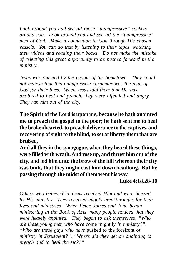*Look around you and see all those "unimpressive" sockets around you. Look around you and see all the "unimpressive" men of God. Make a connection to God through His chosen vessels. You can do that by listening to their tapes, watching their videos and reading their books. Do not make the mistake of rejecting this great opportunity to be pushed forward in the ministry.*

*Jesus was rejected by the people of his hometown. They could not believe that this unimpressive carpenter was the man of God for their lives. When Jesus told them that He was anointed to heal and preach, they were offended and angry. They ran him out of the city.*

**The Spirit of the Lord is upon me, because he hath anointed me to preach the gospel to the poor; he hath sent me to heal the brokenhearted, to preach deliverance to the captives, and recovering of sight to the blind, to set at liberty them that are bruised,**

**And all they in the synagogue, when they heard these things, were filled with wrath, And rose up, and thrust him out of the city, and led him unto the brow of the hill whereon their city was built, that they might cast him down headlong. But he passing through the midst of them went his way,**

**Luke 4:18,28-30**

*Others who believed in Jesus received Him and were blessed by His ministry. They received mighty breakthroughs for their lives and ministries. When Peter, James and John began ministering in the Book of Acts, many people noticed that they were heavily anointed. They began to ask themselves, "Who are these young men who have* come mightily *in ministry?", "Who are these guys who have* pushed to the forefront *of ministry in Jerusalem?", "Where did they get an anointing to preach and to heal the sick?"*